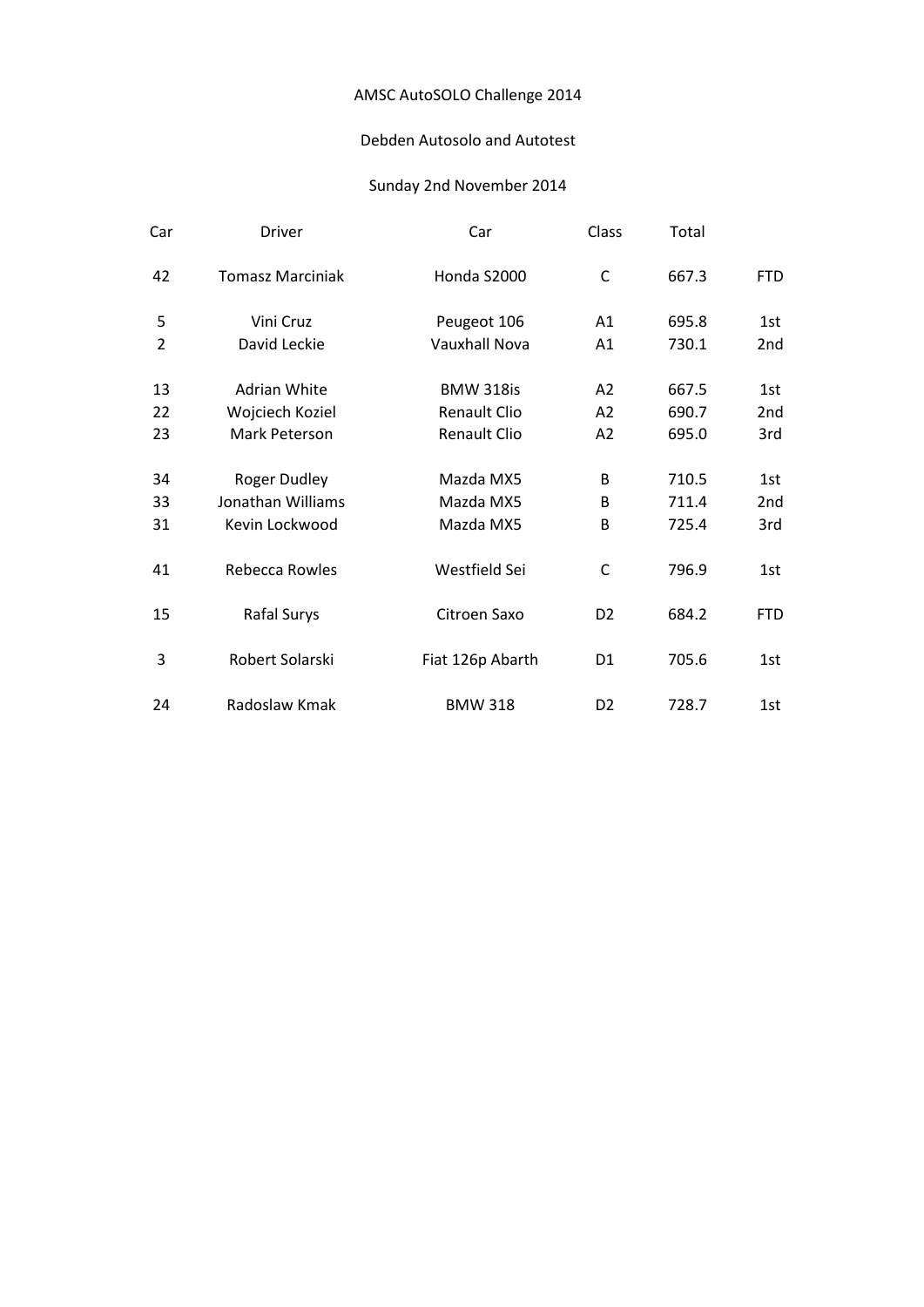## Debden Autosolo and Autotest

| Car            | <b>Driver</b>           | Car                  | Class          | Total |            |
|----------------|-------------------------|----------------------|----------------|-------|------------|
| 42             | <b>Tomasz Marciniak</b> | Honda S2000          | $\mathsf C$    | 667.3 | <b>FTD</b> |
| 5              | Vini Cruz               | Peugeot 106          | A1             | 695.8 | 1st        |
| $\overline{2}$ | David Leckie            | <b>Vauxhall Nova</b> | A1             | 730.1 | 2nd        |
| 13             | Adrian White            | <b>BMW 318is</b>     | A2             | 667.5 | 1st        |
| 22             | Wojciech Koziel         | <b>Renault Clio</b>  | A2             | 690.7 | 2nd        |
| 23             | Mark Peterson           | <b>Renault Clio</b>  | A2             | 695.0 | 3rd        |
| 34             | Roger Dudley            | Mazda MX5            | B              | 710.5 | 1st        |
| 33             | Jonathan Williams       | Mazda MX5            | B              | 711.4 | 2nd        |
| 31             | Kevin Lockwood          | Mazda MX5            | B              | 725.4 | 3rd        |
| 41             | <b>Rebecca Rowles</b>   | Westfield Sei        | C              | 796.9 | 1st        |
| 15             | Rafal Surys             | Citroen Saxo         | D <sub>2</sub> | 684.2 | <b>FTD</b> |
| 3              | Robert Solarski         | Fiat 126p Abarth     | D <sub>1</sub> | 705.6 | 1st        |
| 24             | Radoslaw Kmak           | <b>BMW 318</b>       | D <sub>2</sub> | 728.7 | 1st        |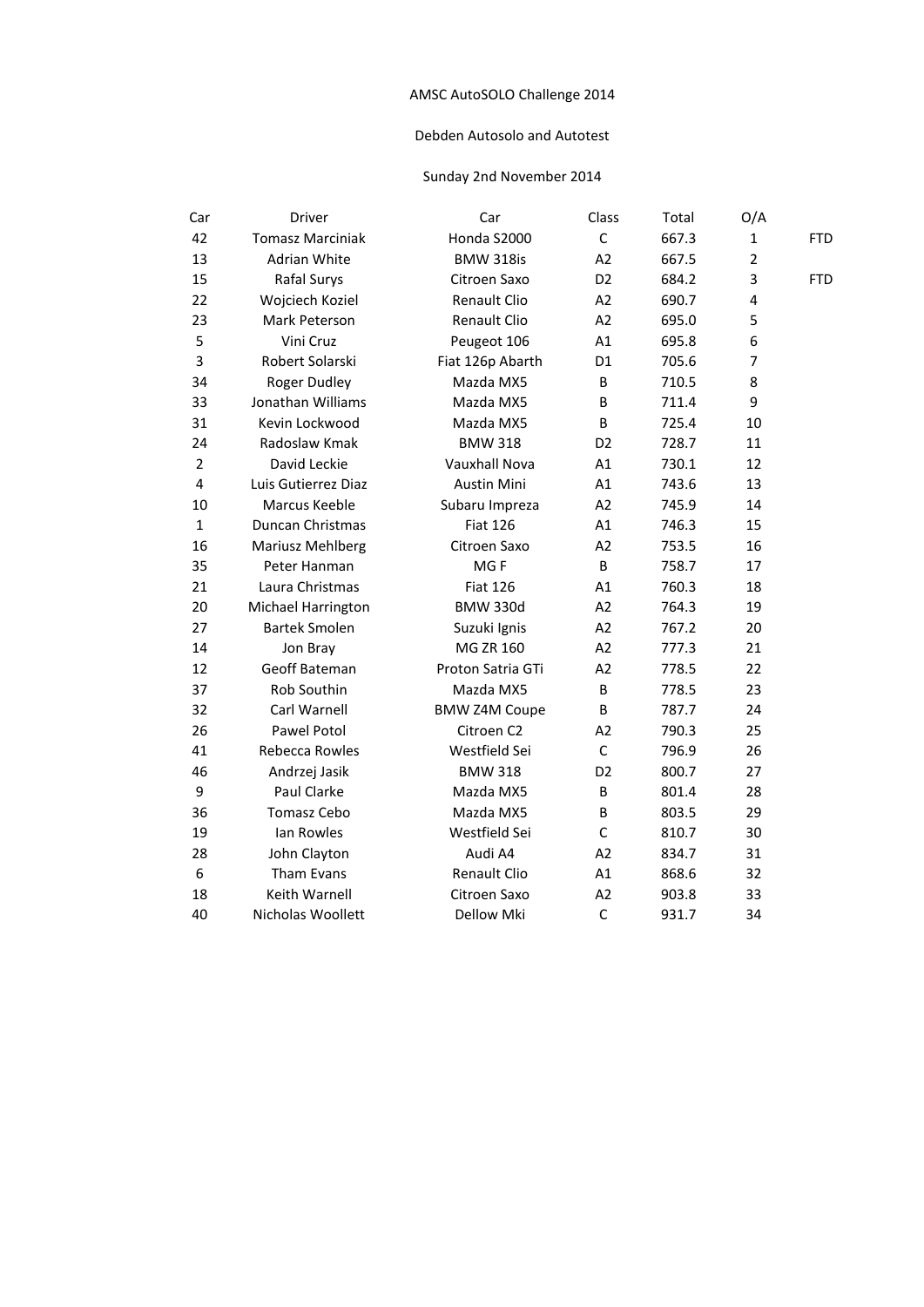## Debden Autosolo and Autotest

| Car            | Driver                  | Car                  | Class          | Total | O/A            |            |
|----------------|-------------------------|----------------------|----------------|-------|----------------|------------|
| 42             | <b>Tomasz Marciniak</b> | Honda S2000          | $\mathsf C$    | 667.3 | $\mathbf 1$    | <b>FTD</b> |
| 13             | Adrian White            | <b>BMW 318is</b>     | A2             | 667.5 | $\overline{2}$ |            |
| 15             | Rafal Surys             | Citroen Saxo         | D <sub>2</sub> | 684.2 | 3              | <b>FTD</b> |
| 22             | Wojciech Koziel         | <b>Renault Clio</b>  | A <sub>2</sub> | 690.7 | 4              |            |
| 23             | Mark Peterson           | Renault Clio         | A2             | 695.0 | 5              |            |
| 5              | Vini Cruz               | Peugeot 106          | A1             | 695.8 | 6              |            |
| 3              | Robert Solarski         | Fiat 126p Abarth     | D <sub>1</sub> | 705.6 | 7              |            |
| 34             | <b>Roger Dudley</b>     | Mazda MX5            | B              | 710.5 | 8              |            |
| 33             | Jonathan Williams       | Mazda MX5            | B              | 711.4 | 9              |            |
| 31             | Kevin Lockwood          | Mazda MX5            | B              | 725.4 | 10             |            |
| 24             | Radoslaw Kmak           | <b>BMW 318</b>       | D <sub>2</sub> | 728.7 | 11             |            |
| $\overline{2}$ | David Leckie            | Vauxhall Nova        | A1             | 730.1 | 12             |            |
| 4              | Luis Gutierrez Diaz     | <b>Austin Mini</b>   | A1             | 743.6 | 13             |            |
| 10             | Marcus Keeble           | Subaru Impreza       | A <sub>2</sub> | 745.9 | 14             |            |
| $\mathbf{1}$   | Duncan Christmas        | <b>Fiat 126</b>      | A1             | 746.3 | 15             |            |
| 16             | Mariusz Mehlberg        | Citroen Saxo         | A2             | 753.5 | 16             |            |
| 35             | Peter Hanman            | MGF                  | B              | 758.7 | 17             |            |
| 21             | Laura Christmas         | <b>Fiat 126</b>      | A1             | 760.3 | 18             |            |
| 20             | Michael Harrington      | <b>BMW 330d</b>      | A2             | 764.3 | 19             |            |
| 27             | <b>Bartek Smolen</b>    | Suzuki Ignis         | A2             | 767.2 | 20             |            |
| 14             | Jon Bray                | MG ZR 160            | A <sub>2</sub> | 777.3 | 21             |            |
| 12             | Geoff Bateman           | Proton Satria GTi    | A2             | 778.5 | 22             |            |
| 37             | Rob Southin             | Mazda MX5            | B              | 778.5 | 23             |            |
| 32             | Carl Warnell            | <b>BMW Z4M Coupe</b> | B              | 787.7 | 24             |            |
| 26             | Pawel Potol             | Citroen C2           | A2             | 790.3 | 25             |            |
| 41             | Rebecca Rowles          | Westfield Sei        | $\mathsf{C}$   | 796.9 | 26             |            |
| 46             | Andrzej Jasik           | <b>BMW 318</b>       | D <sub>2</sub> | 800.7 | 27             |            |
| 9              | Paul Clarke             | Mazda MX5            | B              | 801.4 | 28             |            |
| 36             | Tomasz Cebo             | Mazda MX5            | B              | 803.5 | 29             |            |
| 19             | Ian Rowles              | Westfield Sei        | $\mathsf{C}$   | 810.7 | 30             |            |
| 28             | John Clayton            | Audi A4              | A2             | 834.7 | 31             |            |
| 6              | Tham Evans              | Renault Clio         | A1             | 868.6 | 32             |            |
| 18             | Keith Warnell           | Citroen Saxo         | A <sub>2</sub> | 903.8 | 33             |            |
| 40             | Nicholas Woollett       | <b>Dellow Mki</b>    | $\mathsf{C}$   | 931.7 | 34             |            |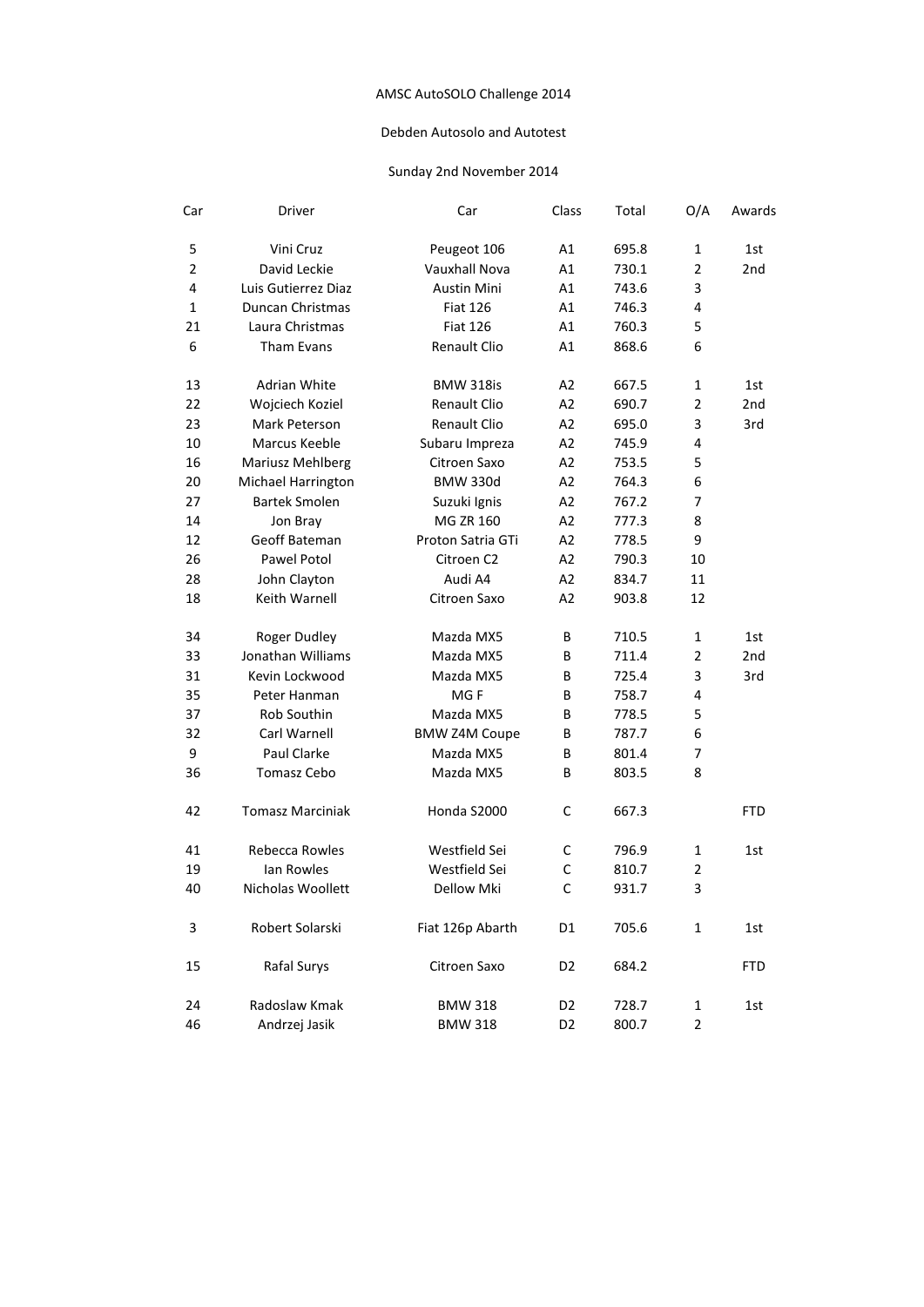## Debden Autosolo and Autotest

| Car            | Driver                  | Car                  | Class          | Total | O/A            | Awards          |
|----------------|-------------------------|----------------------|----------------|-------|----------------|-----------------|
| 5              | Vini Cruz               | Peugeot 106          | Α1             | 695.8 | 1              | 1st             |
| $\overline{2}$ | David Leckie            | Vauxhall Nova        | A1             | 730.1 | $\overline{2}$ | 2 <sub>nd</sub> |
| 4              | Luis Gutierrez Diaz     | <b>Austin Mini</b>   | Α1             | 743.6 | 3              |                 |
| 1              | <b>Duncan Christmas</b> | <b>Fiat 126</b>      | A1             | 746.3 | 4              |                 |
| 21             | Laura Christmas         | <b>Fiat 126</b>      | A1             | 760.3 | 5              |                 |
| 6              | Tham Evans              | <b>Renault Clio</b>  | A1             | 868.6 | 6              |                 |
| 13             | Adrian White            | <b>BMW 318is</b>     | A2             | 667.5 | 1              | 1st             |
| 22             | Wojciech Koziel         | <b>Renault Clio</b>  | A2             | 690.7 | $\overline{2}$ | 2 <sub>nd</sub> |
| 23             | Mark Peterson           | <b>Renault Clio</b>  | A2             | 695.0 | 3              | 3rd             |
| 10             | Marcus Keeble           | Subaru Impreza       | A2             | 745.9 | 4              |                 |
| 16             | Mariusz Mehlberg        | Citroen Saxo         | A2             | 753.5 | 5              |                 |
| 20             | Michael Harrington      | <b>BMW 330d</b>      | A2             | 764.3 | 6              |                 |
| 27             | <b>Bartek Smolen</b>    | Suzuki Ignis         | A2             | 767.2 | 7              |                 |
| 14             | Jon Bray                | <b>MG ZR 160</b>     | A2             | 777.3 | 8              |                 |
| 12             | Geoff Bateman           | Proton Satria GTi    | A2             | 778.5 | 9              |                 |
| 26             | Pawel Potol             | Citroen C2           | A2             | 790.3 | 10             |                 |
| 28             | John Clayton            | Audi A4              | A2             | 834.7 | 11             |                 |
| 18             | Keith Warnell           | Citroen Saxo         | A2             | 903.8 | 12             |                 |
| 34             | Roger Dudley            | Mazda MX5            | B              | 710.5 | $\mathbf{1}$   | 1st             |
| 33             | Jonathan Williams       | Mazda MX5            | B              | 711.4 | $\overline{2}$ | 2 <sub>nd</sub> |
| 31             | Kevin Lockwood          | Mazda MX5            | B              | 725.4 | 3              | 3rd             |
| 35             | Peter Hanman            | MG <sub>F</sub>      | B              | 758.7 | 4              |                 |
| 37             | Rob Southin             | Mazda MX5            | B              | 778.5 | 5              |                 |
| 32             | Carl Warnell            | <b>BMW Z4M Coupe</b> | В              | 787.7 | 6              |                 |
| 9              | Paul Clarke             | Mazda MX5            | B              | 801.4 | 7              |                 |
| 36             | Tomasz Cebo             | Mazda MX5            | B              | 803.5 | 8              |                 |
| 42             | <b>Tomasz Marciniak</b> | Honda S2000          | C              | 667.3 |                | <b>FTD</b>      |
| 41             | Rebecca Rowles          | Westfield Sei        | с              | 796.9 | 1              | 1st             |
| 19             | lan Rowles              | Westfield Sei        | C              | 810.7 | $\overline{2}$ |                 |
| 40             | Nicholas Woollett       | Dellow Mki           | $\mathsf{C}$   | 931.7 | 3              |                 |
| 3              | Robert Solarski         | Fiat 126p Abarth     | D1             | 705.6 | $\mathbf{1}$   | 1st             |
| 15             | Rafal Surys             | Citroen Saxo         | D <sub>2</sub> | 684.2 |                | <b>FTD</b>      |
| 24             | Radoslaw Kmak           | <b>BMW 318</b>       | D2             | 728.7 | 1              | 1st             |
| 46             | Andrzej Jasik           | <b>BMW 318</b>       | D <sub>2</sub> | 800.7 | $\overline{2}$ |                 |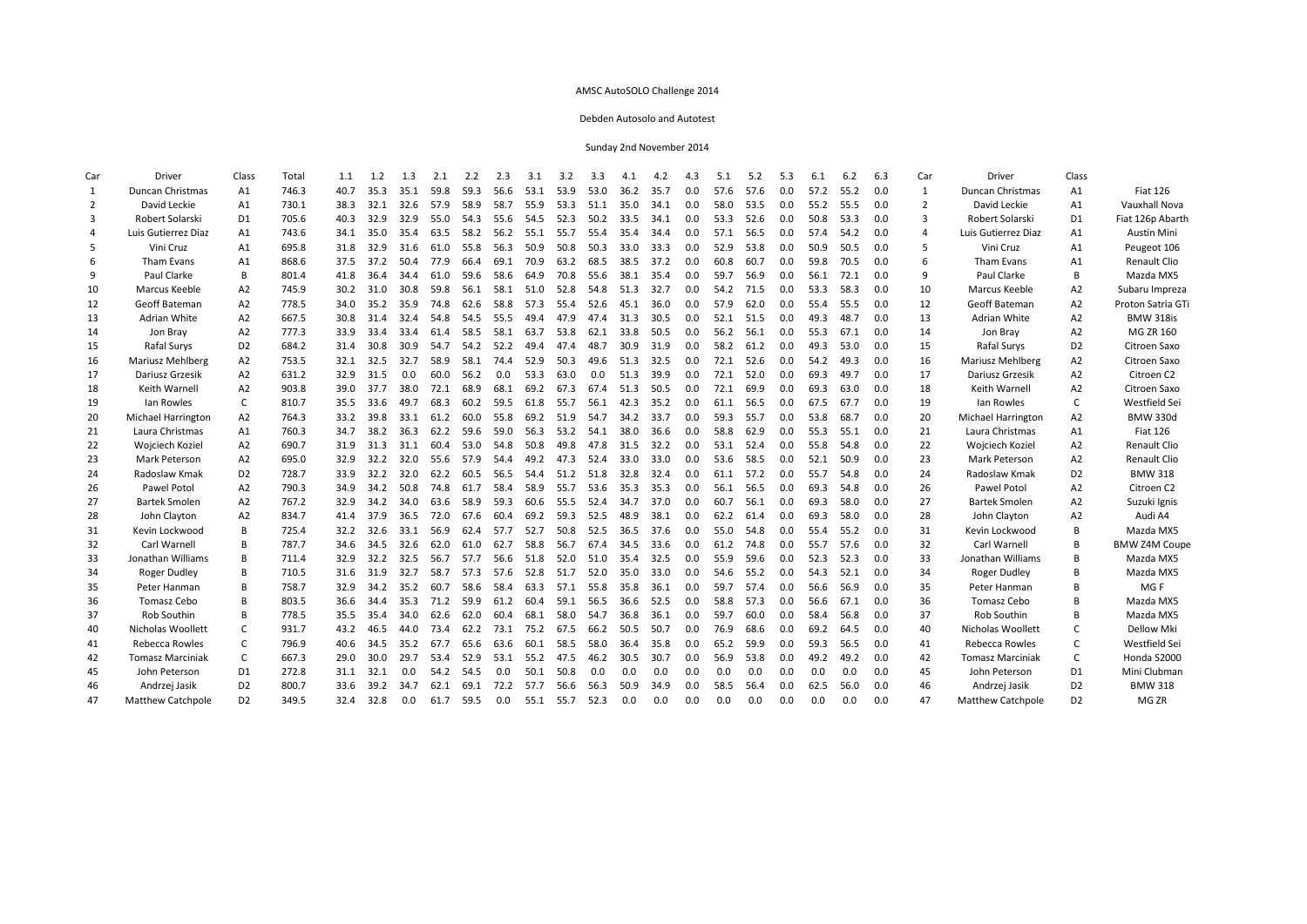#### Debden Autosolo and Autotest

| Car | Driver                    | Class          | Total | 1.1  | 1.2  | 1.3  | 2.1  | 2.2  | 2.3  | 3.1  | 3.2  | 3.3  | 4.1  | 4.2  | 4.3 | 5.1  | 5.2  | 5.3 | 6.1  | 6.2  | 6.3 | Car            | Driver                   | Class          |                      |
|-----|---------------------------|----------------|-------|------|------|------|------|------|------|------|------|------|------|------|-----|------|------|-----|------|------|-----|----------------|--------------------------|----------------|----------------------|
| 1   | <b>Duncan Christmas</b>   | A1             | 746.3 | 40.7 | 35.3 | 35.1 | 59.8 | 59.3 | 56.6 | 53.1 | 53.9 | 53.0 | 36.2 | 35.7 | 0.0 | 57.6 | 57.6 | 0.0 | 57.2 | 55.2 | 0.0 | $\mathbf{1}$   | <b>Duncan Christmas</b>  | A1             | <b>Fiat 126</b>      |
| 2   | David Leckie              | A1             | 730.1 | 38.3 | 32.1 | 32.6 | 57.9 | 58.9 | 58.7 | 55.9 | 53.3 | 51.1 | 35.0 | 34.1 | 0.0 | 58.0 | 53.5 | 0.0 | 55.2 | 55.5 | 0.0 | 2              | David Leckie             | A1             | Vauxhall Nova        |
| 3   | Robert Solarski           | D <sub>1</sub> | 705.6 | 40.3 | 32.9 | 32.9 | 55.0 | 54.3 | 55.6 | 54.5 | 52.3 | 50.2 | 33.5 | 34.1 | 0.0 | 53.3 | 52.6 | 0.0 | 50.8 | 53.3 | 0.0 | $\mathbf{a}$   | Robert Solarski          | D <sub>1</sub> | Fiat 126p Abarth     |
| 4   | Luis Gutierrez Diaz       | A1             | 743.6 | 34.1 | 35.0 | 35.4 | 63.5 | 58.2 | 56.2 | 55.1 | 55.7 | 55.4 | 35.4 | 34.4 | 0.0 | 57.1 | 56.5 | 0.0 | 57.4 | 54.2 | 0.0 | $\overline{4}$ | Luis Gutierrez Diaz      | A1             | <b>Austin Mini</b>   |
| 5   | Vini Cruz                 | A1             | 695.8 | 31.8 | 32.9 | 31.6 | 61.0 | 55.8 | 56.3 | 50.9 | 50.8 | 50.3 | 33.0 | 33.3 | 0.0 | 52.9 | 53.8 | 0.0 | 50.9 | 50.5 | 0.0 |                | Vini Cruz                | A1             | Peugeot 106          |
| 6   | Tham Evans                | A1             | 868.6 | 37.5 | 37.2 | 50.4 | 77.9 | 66.4 | 69.1 | 70.9 | 63.2 | 68.5 | 38.5 | 37.2 | 0.0 | 60.8 | 60.7 | 0.0 | 59.8 | 70.5 | 0.0 |                | Tham Evans               | A1             | Renault Clio         |
| 9   | Paul Clarke               | B              | 801.4 | 41.8 | 36.4 | 34.4 | 61.0 | 59.6 | 58.6 | 64.9 | 70.8 | 55.6 | 38.1 | 35.4 | 0.0 | 59.7 | 56.9 | 0.0 | 56.1 | 72.1 | 0.0 | 9              | Paul Clarke              | B              | Mazda MX5            |
| 10  | Marcus Keeble             | A2             | 745.9 | 30.2 | 31.0 | 30.8 | 59.8 | 56.1 | 58.1 | 51.0 | 52.8 | 54.8 | 51.3 | 32.7 | 0.0 | 54.2 | 71.5 | 0.0 | 53.3 | 58.3 | 0.0 | 10             | Marcus Keeble            | A2             | Subaru Impreza       |
| 12  | Geoff Bateman             | A <sub>2</sub> | 778.5 | 34.0 | 35.2 | 35.9 | 74.8 | 62.6 | 58.8 | 57.3 | 554  | 52.6 | 45.1 | 36.0 | 0.0 | 57.9 | 62.0 | 0.0 | 55.4 | 55.5 | 0.0 | 12             | Geoff Bateman            | A2             | Proton Satria GTi    |
| 13  | Adrian White              | A2             | 667.5 | 30.8 | 31.4 | 32.4 | 54.8 | 54.5 | 55.5 | 494  | 47.9 | 47.4 | 31.3 | 30.5 | 0.0 | 52.1 | 51.5 | 0.0 | 49.3 | 48.7 | 0.0 | 13             | Adrian White             | A2             | <b>BMW 318is</b>     |
| 14  | Jon Bray                  | A2             | 777.3 | 33.9 | 33.4 | 33.4 | 61.4 | 58.5 | 58.1 | 63.7 | 53.8 | 62.1 | 33.8 | 50.5 | 0.0 | 56.2 | 56.1 | 0.0 | 55.3 | 67.1 | 0.0 | 14             | Jon Bray                 | A2             | <b>MG ZR 160</b>     |
| 15  | Rafal Surys               | D <sub>2</sub> | 684.2 | 31.4 | 30.8 | 30.9 | 54.7 | 54.2 | 52.2 | 494  | 47.4 | 48.7 | 30.9 | 31.9 | 0.0 | 58.2 | 61.2 | 0.0 | 49.3 | 53.0 | 0.0 | 15             | Rafal Surys              | D <sub>2</sub> | Citroen Saxo         |
| 16  | Mariusz Mehlberg          | A <sub>2</sub> | 753.5 | 32.1 | 32.5 | 32.7 | 58.9 | 58.1 | 744  | 52.9 | 50.3 | 49.6 | 51.3 | 32.5 | 0.0 | 72.1 | 52.6 | 0.0 | 54.2 | 49.3 | 0.0 | 16             | Mariusz Mehlberg         | A2             | Citroen Saxo         |
| 17  | Dariusz Grzesik           | A2             | 631.2 | 32.9 | 31.5 | 0.0  | 60.0 | 56.2 | 0.0  | 53.3 | 63.0 | 0.0  | 51.3 | 39.9 | 0.0 | 72.1 | 52.0 | 0.0 | 69.3 | 49.7 | 0.0 | 17             | Dariusz Grzesik          | A2             | Citroen C2           |
| 18  | Keith Warnell             | A2             | 903.8 | 39.0 | 37.7 | 38.0 | 72.1 | 68.9 | 68.1 | 69.2 | 67.3 | 67.4 | 51.3 | 50.5 | 0.0 | 72.1 | 69.9 | 0.0 | 69.3 | 63.0 | 0.0 | 18             | Keith Warnell            | A2             | Citroen Saxo         |
| 19  | Ian Rowles                | C              | 810.7 | 35.5 | 33.6 | 49.7 | 68.3 | 60.2 | 59.5 | 61.8 | 55.7 | 56.1 | 42.3 | 35.2 | 0.0 | 61.1 | 56.5 | 0.0 | 67.5 | 67.7 | 0.0 | 19             | Ian Rowles               | C              | Westfield Sei        |
| 20  | <b>Michael Harrington</b> | A2             | 764.3 | 33.2 | 39.8 | 33.1 | 61.2 | 60.0 | 55.8 | 69.2 | 51.9 | 54.7 | 34.2 | 33.7 | 0.0 | 59.3 | 55.7 | 0.0 | 53.8 | 68.7 | 0.0 | 20             | Michael Harrington       | A2             | <b>BMW 330d</b>      |
| 21  | Laura Christmas           | A1             | 760.3 | 34.7 | 38.2 | 36.3 | 62.2 | 59.6 | 59.0 | 56.3 | 53.2 | 54.1 | 38.0 | 36.6 | 0.0 | 58.8 | 62.9 | 0.0 | 55.3 | 55.1 | 0.0 | 21             | Laura Christmas          | A1             | <b>Fiat 126</b>      |
| 22  | Wojciech Koziel           | A <sub>2</sub> | 690.7 | 31.9 | 31.3 | 31.1 | 60.4 | 53.0 | 54.8 | 50.8 | 49.8 | 47.8 | 31.5 | 32.2 | 0.0 | 53.1 | 52.4 | 0.0 | 55.8 | 54.8 | 0.0 | 22             | Wojciech Koziel          | A2             | Renault Clio         |
| 23  | Mark Peterson             | A <sub>2</sub> | 695.0 | 32.9 | 32.2 | 32.0 | 55.6 | 57.9 | 54.4 | 49.2 | 47.3 | 52.4 | 33.0 | 33.0 | 0.0 | 53.6 | 58.5 | 0.0 | 52.1 | 50.9 | 0.0 | 23             | Mark Peterson            | A2             | Renault Clio         |
| 24  | Radoslaw Kmak             | D <sub>2</sub> | 728.7 | 33.9 | 32.2 | 32.0 | 62.2 | 60.5 | 56.5 | 54.4 | 51.2 | 51.8 | 32.8 | 32.4 | 0.0 | 61.1 | 57.2 | 0.0 | 55.7 | 54.8 | 0.0 | 24             | Radoslaw Kmak            | D <sub>2</sub> | <b>BMW 318</b>       |
| 26  | Pawel Potol               | A <sub>2</sub> | 790.3 | 34.9 | 34.2 | 50.8 | 74.8 | 61.7 | 58.4 | 58.9 | 55.7 | 53.6 | 35.3 | 35.3 | 0.0 | 56.1 | 56.5 | 0.0 | 69.3 | 54.8 | 0.0 | 26             | Pawel Potol              | A2             | Citroen C2           |
| 27  | <b>Bartek Smolen</b>      | A <sub>2</sub> | 767.2 | 32.9 | 34.2 | 34.0 | 63.6 | 58.9 | 59.3 | 60.6 | 55.5 | 52.4 | 34.7 | 37.0 | 0.0 | 60.7 | 56.1 | 0.0 | 69.3 | 58.0 | 0.0 | 27             | <b>Bartek Smolen</b>     | A2             | Suzuki Ignis         |
| 28  | John Clayton              | A <sub>2</sub> | 834.7 | 41.4 | 37.9 | 36.5 | 72.0 | 67.6 | 60.4 | 69.2 | 59.3 | 52.5 | 48.9 | 38.1 | 0.0 | 62.2 | 61.4 | 0.0 | 69.3 | 58.0 | 0.0 | 28             | John Clayton             | A2             | Audi A4              |
| 31  | Kevin Lockwood            | B              | 725.4 | 32.2 | 32.6 | 33.1 | 56.9 | 62.4 | 57.7 | 52.7 | 50.8 | 52.5 | 36.5 | 37.6 | 0.0 | 55.0 | 54.8 | 0.0 | 55.4 | 55.2 | 0.0 | 31             | Kevin Lockwood           | B              | Mazda MX5            |
| 32  | Carl Warnell              | B              | 787.7 | 34.6 | 34.5 | 32.6 | 62.0 | 61.0 | 62.7 | 58.8 | 56.7 | 67.4 | 34.5 | 33.6 | 0.0 | 61.2 | 74.8 | 0.0 | 55.7 | 57.6 | 0.0 | 32             | Carl Warnell             | B              | <b>BMW Z4M Coupe</b> |
| 33  | Jonathan Williams         | B              | 711.4 | 32.9 | 32.2 | 32.5 | 56.7 | 57.7 | 56.6 | 51.8 | 52.0 | 51.0 | 35.4 | 32.5 | 0.0 | 55.9 | 59.6 | 0.0 | 52.3 | 52.3 | 0.0 | 33             | Jonathan Williams        | B              | Mazda MX5            |
| 34  | Roger Dudley              | B              | 710.5 | 31.6 | 31.9 | 32.7 | 58.7 | 57.3 | 57.6 | 52.8 | 51.7 | 52.0 | 35.0 | 33.0 | 0.0 | 54.6 | 55.2 | 0.0 | 54.3 | 52.1 | 0.0 | 34             | Roger Dudley             | B              | Mazda MX5            |
| 35  | Peter Hanman              | B              | 758.7 | 32.9 | 34.2 | 35.2 | 60.7 | 58.6 | 58.4 | 63.3 | 57.1 | 55.8 | 35.8 | 36.1 | 0.0 | 59.7 | 57.4 | 0.0 | 56.6 | 56.9 | 0.0 | 35             | Peter Hanman             | B              | MG F                 |
| 36  | Tomasz Cebo               | B              | 803.5 | 36.6 | 34.4 | 35.3 | 71.2 | 59.9 | 61.2 | 60.4 | 59.1 | 56.5 | 36.6 | 52.5 | 0.0 | 58.8 | 57.3 | 0.0 | 56.6 | 67.1 | 0.0 | 36             | <b>Tomasz Cebo</b>       | B              | Mazda MX5            |
| 37  | Rob Southin               | B              | 778.5 | 35.5 | 35.4 | 34.0 | 62.6 | 62.0 | 60.4 | 68.1 | 58.0 | 54.7 | 36.8 | 36.1 | 0.0 | 59.7 | 60.0 | 0.0 | 58.4 | 56.8 | 0.0 | 37             | Rob Southin              | B              | Mazda MX5            |
| 40  | Nicholas Woollett         | $\mathsf{C}$   | 931.7 | 43.2 | 46.5 | 44.0 | 73.4 | 62.2 | 73.1 | 75.2 | 67.5 | 66.2 | 50.5 | 50.7 | 0.0 | 76.9 | 68.6 | 0.0 | 69.2 | 64.5 | 0.0 | 40             | Nicholas Woollett        | $\mathsf{C}$   | Dellow Mki           |
| 41  | Rebecca Rowles            | C              | 796.9 | 40.6 | 34.5 | 35.2 | 67.7 | 65.6 | 63.6 | 60.1 | 58.5 | 58.0 | 36.4 | 35.8 | 0.0 | 65.2 | 59.9 | 0.0 | 59.3 | 56.5 | 0.0 | 41             | Rebecca Rowles           | C              | Westfield Sei        |
| 42  | <b>Tomasz Marciniak</b>   | C              | 667.3 | 29.0 | 30.0 | 29.7 | 53.4 | 52.9 | 53.1 | 55.2 | 47.5 | 46.2 | 30.5 | 30.7 | 0.0 | 56.9 | 53.8 | 0.0 | 49.2 | 49.2 | 0.0 | 42             | Tomasz Marciniak         | C              | Honda S2000          |
| 45  | John Peterson             | D <sub>1</sub> | 272.8 | 31.1 | 32.1 | 0.0  | 54.2 | 54.5 | 0.0  | 50.1 | 50.8 | 0.0  | 0.0  | 0.0  | 0.0 | 0.0  | 0.0  | 0.0 | 0.0  | 0.0  | 0.0 | 45             | John Peterson            | D1             | Mini Clubman         |
| 46  | Andrzej Jasik             | D <sub>2</sub> | 800.7 | 33.6 | 39.2 | 34.7 | 62.1 | 69.1 | 72.2 | 57.7 | 56.6 | 56.3 | 50.9 | 34.9 | 0.0 | 58.5 | 56.4 | 0.0 | 62.5 | 56.0 | 0.0 | 46             | Andrzej Jasik            | D <sub>2</sub> | <b>BMW 318</b>       |
| 47  | <b>Matthew Catchpole</b>  | D <sub>2</sub> | 349.5 | 32.4 | 32.8 | 0.0  | 61.7 | 59.5 | 0.0  | 55.1 | 55.7 | 52.3 | 0.0  | 0.0  | 0.0 | 0.0  | 0.0  | 0.0 | 0.0  | 0.0  | 0.0 | 47             | <b>Matthew Catchpole</b> | D <sub>2</sub> | MG ZR                |
|     |                           |                |       |      |      |      |      |      |      |      |      |      |      |      |     |      |      |     |      |      |     |                |                          |                |                      |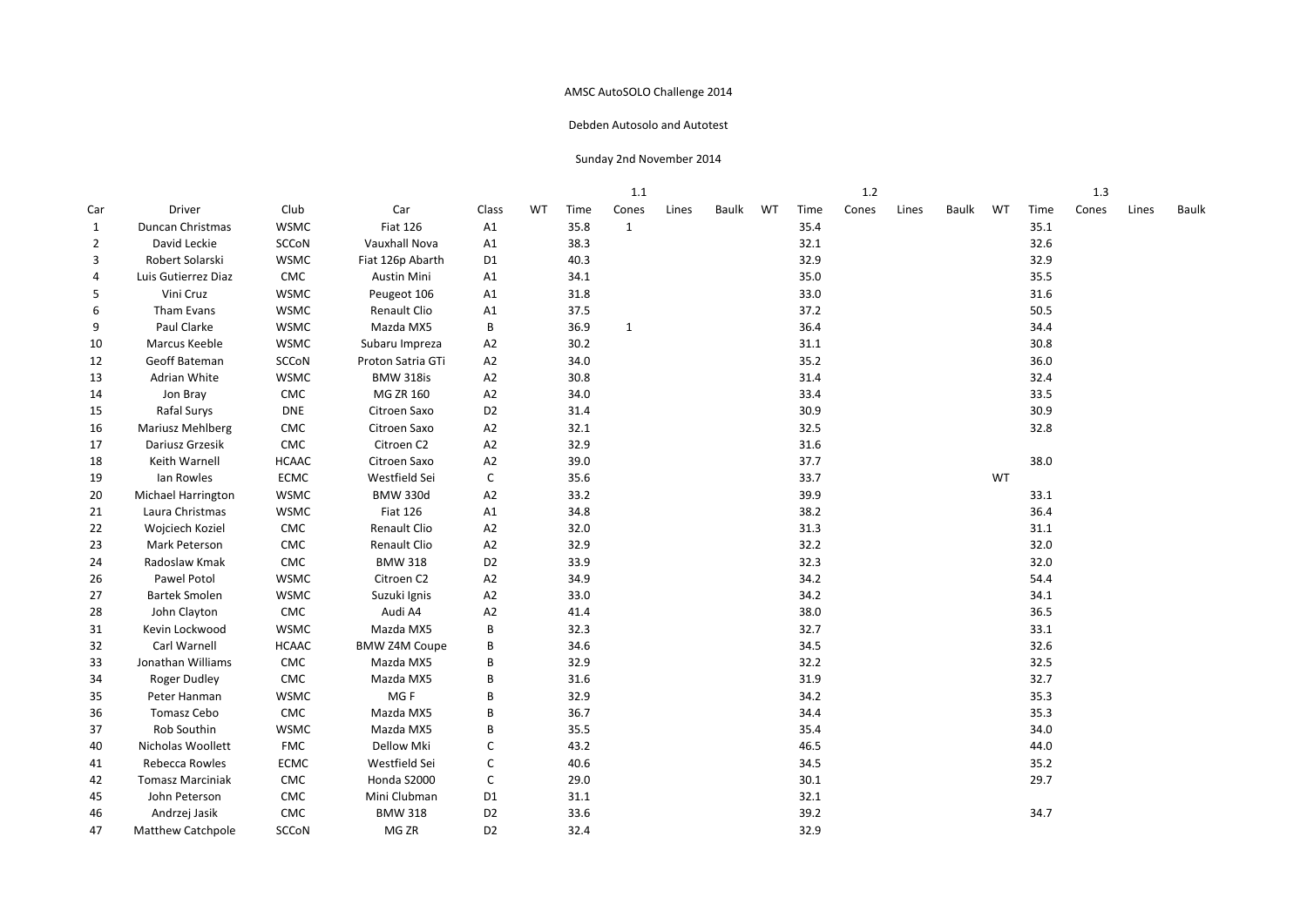#### Debden Autosolo and Autotest

|                |                           |              |                      |                |           |      | 1.1          |       |       |    |      | 1.2   |       |       |    |      | 1.3   |       |       |
|----------------|---------------------------|--------------|----------------------|----------------|-----------|------|--------------|-------|-------|----|------|-------|-------|-------|----|------|-------|-------|-------|
| Car            | Driver                    | Club         | Car                  | Class          | <b>WT</b> | Time | Cones        | Lines | Baulk | WT | Time | Cones | Lines | Baulk | WT | Time | Cones | Lines | Baulk |
| $\mathbf{1}$   | Duncan Christmas          | <b>WSMC</b>  | <b>Fiat 126</b>      | A1             |           | 35.8 | $\mathbf{1}$ |       |       |    | 35.4 |       |       |       |    | 35.1 |       |       |       |
| $\overline{2}$ | David Leckie              | SCCoN        | Vauxhall Nova        | A1             |           | 38.3 |              |       |       |    | 32.1 |       |       |       |    | 32.6 |       |       |       |
| 3              | Robert Solarski           | <b>WSMC</b>  | Fiat 126p Abarth     | D <sub>1</sub> |           | 40.3 |              |       |       |    | 32.9 |       |       |       |    | 32.9 |       |       |       |
| 4              | Luis Gutierrez Diaz       | ${\sf CMC}$  | Austin Mini          | A1             |           | 34.1 |              |       |       |    | 35.0 |       |       |       |    | 35.5 |       |       |       |
| 5              | Vini Cruz                 | <b>WSMC</b>  | Peugeot 106          | A1             |           | 31.8 |              |       |       |    | 33.0 |       |       |       |    | 31.6 |       |       |       |
| 6              | Tham Evans                | <b>WSMC</b>  | Renault Clio         | A1             |           | 37.5 |              |       |       |    | 37.2 |       |       |       |    | 50.5 |       |       |       |
| 9              | Paul Clarke               | <b>WSMC</b>  | Mazda MX5            | В              |           | 36.9 | $\mathbf{1}$ |       |       |    | 36.4 |       |       |       |    | 34.4 |       |       |       |
| 10             | Marcus Keeble             | <b>WSMC</b>  | Subaru Impreza       | A <sub>2</sub> |           | 30.2 |              |       |       |    | 31.1 |       |       |       |    | 30.8 |       |       |       |
| 12             | Geoff Bateman             | <b>SCCoN</b> | Proton Satria GTi    | A <sub>2</sub> |           | 34.0 |              |       |       |    | 35.2 |       |       |       |    | 36.0 |       |       |       |
| 13             | Adrian White              | <b>WSMC</b>  | <b>BMW 318is</b>     | A <sub>2</sub> |           | 30.8 |              |       |       |    | 31.4 |       |       |       |    | 32.4 |       |       |       |
| 14             | Jon Bray                  | CMC          | MG ZR 160            | A2             |           | 34.0 |              |       |       |    | 33.4 |       |       |       |    | 33.5 |       |       |       |
| 15             | Rafal Surys               | <b>DNE</b>   | Citroen Saxo         | D <sub>2</sub> |           | 31.4 |              |       |       |    | 30.9 |       |       |       |    | 30.9 |       |       |       |
| 16             | Mariusz Mehlberg          | CMC          | Citroen Saxo         | A <sub>2</sub> |           | 32.1 |              |       |       |    | 32.5 |       |       |       |    | 32.8 |       |       |       |
| 17             | Dariusz Grzesik           | CMC          | Citroen C2           | A <sub>2</sub> |           | 32.9 |              |       |       |    | 31.6 |       |       |       |    |      |       |       |       |
| 18             | Keith Warnell             | <b>HCAAC</b> | Citroen Saxo         | A <sub>2</sub> |           | 39.0 |              |       |       |    | 37.7 |       |       |       |    | 38.0 |       |       |       |
| 19             | Ian Rowles                | <b>ECMC</b>  | Westfield Sei        | $\mathsf{C}$   |           | 35.6 |              |       |       |    | 33.7 |       |       |       | WT |      |       |       |       |
| 20             | <b>Michael Harrington</b> | <b>WSMC</b>  | <b>BMW 330d</b>      | A2             |           | 33.2 |              |       |       |    | 39.9 |       |       |       |    | 33.1 |       |       |       |
| 21             | Laura Christmas           | <b>WSMC</b>  | <b>Fiat 126</b>      | A1             |           | 34.8 |              |       |       |    | 38.2 |       |       |       |    | 36.4 |       |       |       |
| 22             | Wojciech Koziel           | ${\sf CMC}$  | Renault Clio         | A2             |           | 32.0 |              |       |       |    | 31.3 |       |       |       |    | 31.1 |       |       |       |
| 23             | Mark Peterson             | CMC          | Renault Clio         | A2             |           | 32.9 |              |       |       |    | 32.2 |       |       |       |    | 32.0 |       |       |       |
| 24             | Radoslaw Kmak             | ${\sf CMC}$  | <b>BMW 318</b>       | D <sub>2</sub> |           | 33.9 |              |       |       |    | 32.3 |       |       |       |    | 32.0 |       |       |       |
| 26             | Pawel Potol               | <b>WSMC</b>  | Citroen C2           | A2             |           | 34.9 |              |       |       |    | 34.2 |       |       |       |    | 54.4 |       |       |       |
| 27             | <b>Bartek Smolen</b>      | <b>WSMC</b>  | Suzuki Ignis         | A2             |           | 33.0 |              |       |       |    | 34.2 |       |       |       |    | 34.1 |       |       |       |
| 28             | John Clayton              | CMC          | Audi A4              | A2             |           | 41.4 |              |       |       |    | 38.0 |       |       |       |    | 36.5 |       |       |       |
| 31             | Kevin Lockwood            | <b>WSMC</b>  | Mazda MX5            | B              |           | 32.3 |              |       |       |    | 32.7 |       |       |       |    | 33.1 |       |       |       |
| 32             | Carl Warnell              | <b>HCAAC</b> | <b>BMW Z4M Coupe</b> | B              |           | 34.6 |              |       |       |    | 34.5 |       |       |       |    | 32.6 |       |       |       |
| 33             | Jonathan Williams         | CMC          | Mazda MX5            | В              |           | 32.9 |              |       |       |    | 32.2 |       |       |       |    | 32.5 |       |       |       |
| 34             | <b>Roger Dudley</b>       | CMC          | Mazda MX5            | B              |           | 31.6 |              |       |       |    | 31.9 |       |       |       |    | 32.7 |       |       |       |
| 35             | Peter Hanman              | <b>WSMC</b>  | MG <sub>F</sub>      | B              |           | 32.9 |              |       |       |    | 34.2 |       |       |       |    | 35.3 |       |       |       |
| 36             | Tomasz Cebo               | CMC          | Mazda MX5            | B              |           | 36.7 |              |       |       |    | 34.4 |       |       |       |    | 35.3 |       |       |       |
| 37             | Rob Southin               | <b>WSMC</b>  | Mazda MX5            | B              |           | 35.5 |              |       |       |    | 35.4 |       |       |       |    | 34.0 |       |       |       |
| 40             | Nicholas Woollett         | <b>FMC</b>   | Dellow Mki           | C              |           | 43.2 |              |       |       |    | 46.5 |       |       |       |    | 44.0 |       |       |       |
| 41             | Rebecca Rowles            | <b>ECMC</b>  | Westfield Sei        | C              |           | 40.6 |              |       |       |    | 34.5 |       |       |       |    | 35.2 |       |       |       |
| 42             | <b>Tomasz Marciniak</b>   | CMC          | Honda S2000          | $\mathsf{C}$   |           | 29.0 |              |       |       |    | 30.1 |       |       |       |    | 29.7 |       |       |       |
| 45             | John Peterson             | CMC          | Mini Clubman         | D <sub>1</sub> |           | 31.1 |              |       |       |    | 32.1 |       |       |       |    |      |       |       |       |
| 46             | Andrzej Jasik             | CMC          | <b>BMW 318</b>       | D <sub>2</sub> |           | 33.6 |              |       |       |    | 39.2 |       |       |       |    | 34.7 |       |       |       |
| 47             | <b>Matthew Catchpole</b>  | <b>SCCoN</b> | MG ZR                | D <sub>2</sub> |           | 32.4 |              |       |       |    | 32.9 |       |       |       |    |      |       |       |       |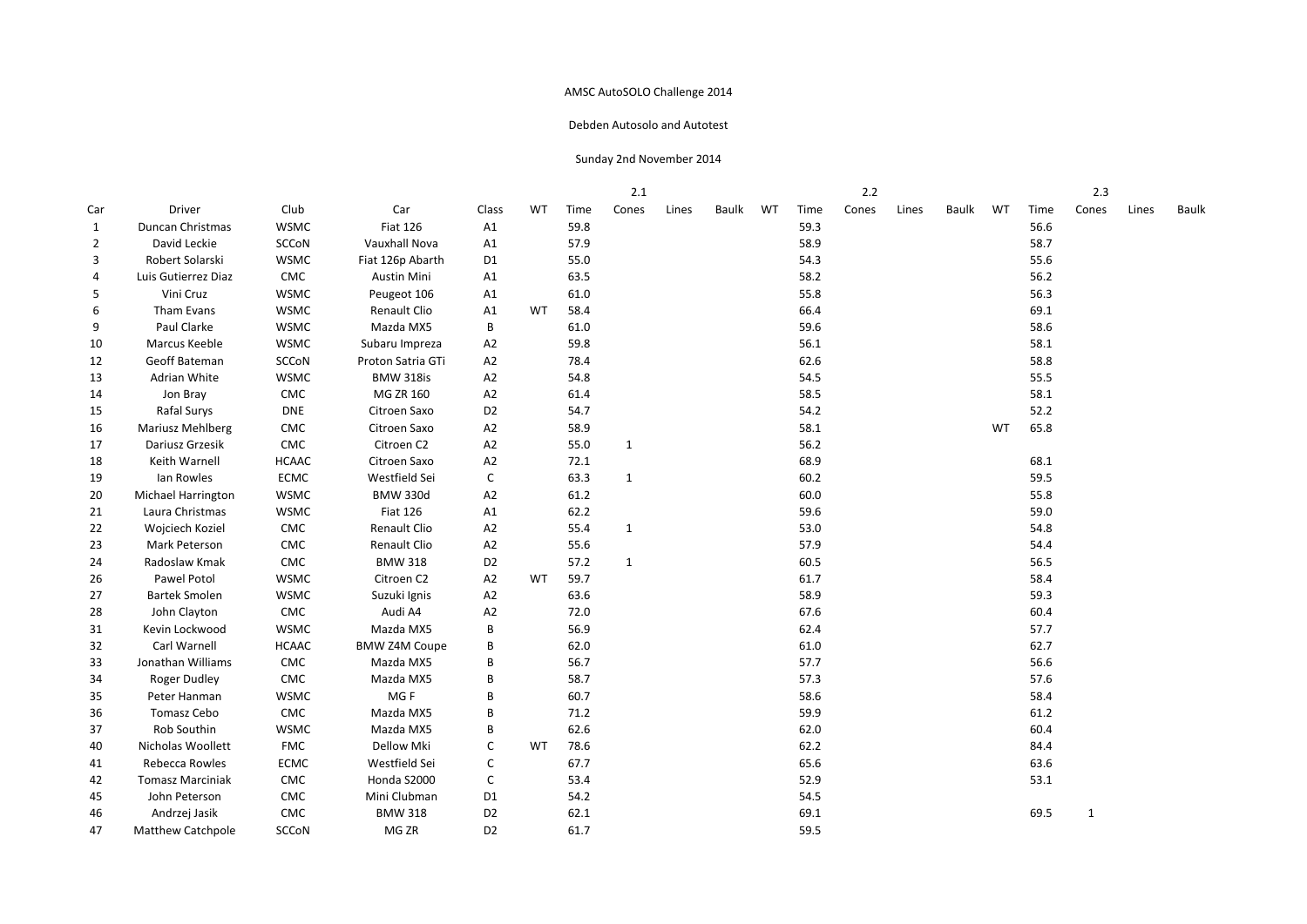#### Debden Autosolo and Autotest

|                |                           |              |                      |                |           |      | -2.1         |       |       |    |      | 2.2   |       |       |    |      | 2.3          |       |       |
|----------------|---------------------------|--------------|----------------------|----------------|-----------|------|--------------|-------|-------|----|------|-------|-------|-------|----|------|--------------|-------|-------|
| Car            | Driver                    | Club         | Car                  | Class          | <b>WT</b> | Time | Cones        | Lines | Baulk | WT | Time | Cones | Lines | Baulk | WT | Time | Cones        | Lines | Baulk |
| $\mathbf{1}$   | Duncan Christmas          | <b>WSMC</b>  | <b>Fiat 126</b>      | A1             |           | 59.8 |              |       |       |    | 59.3 |       |       |       |    | 56.6 |              |       |       |
| $\overline{2}$ | David Leckie              | SCCoN        | Vauxhall Nova        | A1             |           | 57.9 |              |       |       |    | 58.9 |       |       |       |    | 58.7 |              |       |       |
| 3              | Robert Solarski           | <b>WSMC</b>  | Fiat 126p Abarth     | D <sub>1</sub> |           | 55.0 |              |       |       |    | 54.3 |       |       |       |    | 55.6 |              |       |       |
| 4              | Luis Gutierrez Diaz       | CMC          | Austin Mini          | A1             |           | 63.5 |              |       |       |    | 58.2 |       |       |       |    | 56.2 |              |       |       |
| 5              | Vini Cruz                 | <b>WSMC</b>  | Peugeot 106          | A1             |           | 61.0 |              |       |       |    | 55.8 |       |       |       |    | 56.3 |              |       |       |
| 6              | Tham Evans                | <b>WSMC</b>  | Renault Clio         | A1             | WT        | 58.4 |              |       |       |    | 66.4 |       |       |       |    | 69.1 |              |       |       |
| 9              | Paul Clarke               | <b>WSMC</b>  | Mazda MX5            | B              |           | 61.0 |              |       |       |    | 59.6 |       |       |       |    | 58.6 |              |       |       |
| 10             | Marcus Keeble             | <b>WSMC</b>  | Subaru Impreza       | A2             |           | 59.8 |              |       |       |    | 56.1 |       |       |       |    | 58.1 |              |       |       |
| 12             | Geoff Bateman             | <b>SCCoN</b> | Proton Satria GTi    | A2             |           | 78.4 |              |       |       |    | 62.6 |       |       |       |    | 58.8 |              |       |       |
| 13             | Adrian White              | <b>WSMC</b>  | <b>BMW 318is</b>     | A2             |           | 54.8 |              |       |       |    | 54.5 |       |       |       |    | 55.5 |              |       |       |
| 14             | Jon Bray                  | CMC          | MG ZR 160            | A2             |           | 61.4 |              |       |       |    | 58.5 |       |       |       |    | 58.1 |              |       |       |
| 15             | Rafal Surys               | <b>DNE</b>   | Citroen Saxo         | D <sub>2</sub> |           | 54.7 |              |       |       |    | 54.2 |       |       |       |    | 52.2 |              |       |       |
| 16             | Mariusz Mehlberg          | CMC          | Citroen Saxo         | A <sub>2</sub> |           | 58.9 |              |       |       |    | 58.1 |       |       |       | WT | 65.8 |              |       |       |
| 17             | Dariusz Grzesik           | CMC          | Citroen C2           | A2             |           | 55.0 | $\mathbf{1}$ |       |       |    | 56.2 |       |       |       |    |      |              |       |       |
| 18             | Keith Warnell             | <b>HCAAC</b> | Citroen Saxo         | A <sub>2</sub> |           | 72.1 |              |       |       |    | 68.9 |       |       |       |    | 68.1 |              |       |       |
| 19             | Ian Rowles                | <b>ECMC</b>  | Westfield Sei        | $\mathsf{C}$   |           | 63.3 | $\mathbf{1}$ |       |       |    | 60.2 |       |       |       |    | 59.5 |              |       |       |
| 20             | <b>Michael Harrington</b> | <b>WSMC</b>  | <b>BMW 330d</b>      | A2             |           | 61.2 |              |       |       |    | 60.0 |       |       |       |    | 55.8 |              |       |       |
| 21             | Laura Christmas           | <b>WSMC</b>  | <b>Fiat 126</b>      | A1             |           | 62.2 |              |       |       |    | 59.6 |       |       |       |    | 59.0 |              |       |       |
| 22             | Wojciech Koziel           | ${\sf CMC}$  | Renault Clio         | A2             |           | 55.4 | $\mathbf{1}$ |       |       |    | 53.0 |       |       |       |    | 54.8 |              |       |       |
| 23             | Mark Peterson             | CMC          | Renault Clio         | A2             |           | 55.6 |              |       |       |    | 57.9 |       |       |       |    | 54.4 |              |       |       |
| 24             | Radoslaw Kmak             | CMC          | <b>BMW 318</b>       | D <sub>2</sub> |           | 57.2 | $\mathbf{1}$ |       |       |    | 60.5 |       |       |       |    | 56.5 |              |       |       |
| 26             | Pawel Potol               | <b>WSMC</b>  | Citroen C2           | A2             | WT        | 59.7 |              |       |       |    | 61.7 |       |       |       |    | 58.4 |              |       |       |
| 27             | <b>Bartek Smolen</b>      | <b>WSMC</b>  | Suzuki Ignis         | A2             |           | 63.6 |              |       |       |    | 58.9 |       |       |       |    | 59.3 |              |       |       |
| 28             | John Clayton              | CMC          | Audi A4              | A <sub>2</sub> |           | 72.0 |              |       |       |    | 67.6 |       |       |       |    | 60.4 |              |       |       |
| 31             | Kevin Lockwood            | <b>WSMC</b>  | Mazda MX5            | B              |           | 56.9 |              |       |       |    | 62.4 |       |       |       |    | 57.7 |              |       |       |
| 32             | Carl Warnell              | <b>HCAAC</b> | <b>BMW Z4M Coupe</b> | B              |           | 62.0 |              |       |       |    | 61.0 |       |       |       |    | 62.7 |              |       |       |
| 33             | Jonathan Williams         | CMC          | Mazda MX5            | B              |           | 56.7 |              |       |       |    | 57.7 |       |       |       |    | 56.6 |              |       |       |
| 34             | <b>Roger Dudley</b>       | CMC          | Mazda MX5            | B              |           | 58.7 |              |       |       |    | 57.3 |       |       |       |    | 57.6 |              |       |       |
| 35             | Peter Hanman              | <b>WSMC</b>  | MG <sub>F</sub>      | B              |           | 60.7 |              |       |       |    | 58.6 |       |       |       |    | 58.4 |              |       |       |
| 36             | Tomasz Cebo               | CMC          | Mazda MX5            | B              |           | 71.2 |              |       |       |    | 59.9 |       |       |       |    | 61.2 |              |       |       |
| 37             | Rob Southin               | <b>WSMC</b>  | Mazda MX5            | B              |           | 62.6 |              |       |       |    | 62.0 |       |       |       |    | 60.4 |              |       |       |
| 40             | Nicholas Woollett         | <b>FMC</b>   | Dellow Mki           | C              | WT        | 78.6 |              |       |       |    | 62.2 |       |       |       |    | 84.4 |              |       |       |
| 41             | Rebecca Rowles            | <b>ECMC</b>  | Westfield Sei        | C              |           | 67.7 |              |       |       |    | 65.6 |       |       |       |    | 63.6 |              |       |       |
| 42             | <b>Tomasz Marciniak</b>   | CMC          | Honda S2000          | C              |           | 53.4 |              |       |       |    | 52.9 |       |       |       |    | 53.1 |              |       |       |
| 45             | John Peterson             | CMC          | Mini Clubman         | D <sub>1</sub> |           | 54.2 |              |       |       |    | 54.5 |       |       |       |    |      |              |       |       |
| 46             | Andrzej Jasik             | CMC          | <b>BMW 318</b>       | D <sub>2</sub> |           | 62.1 |              |       |       |    | 69.1 |       |       |       |    | 69.5 | $\mathbf{1}$ |       |       |
| 47             | <b>Matthew Catchpole</b>  | SCCoN        | MG ZR                | D <sub>2</sub> |           | 61.7 |              |       |       |    | 59.5 |       |       |       |    |      |              |       |       |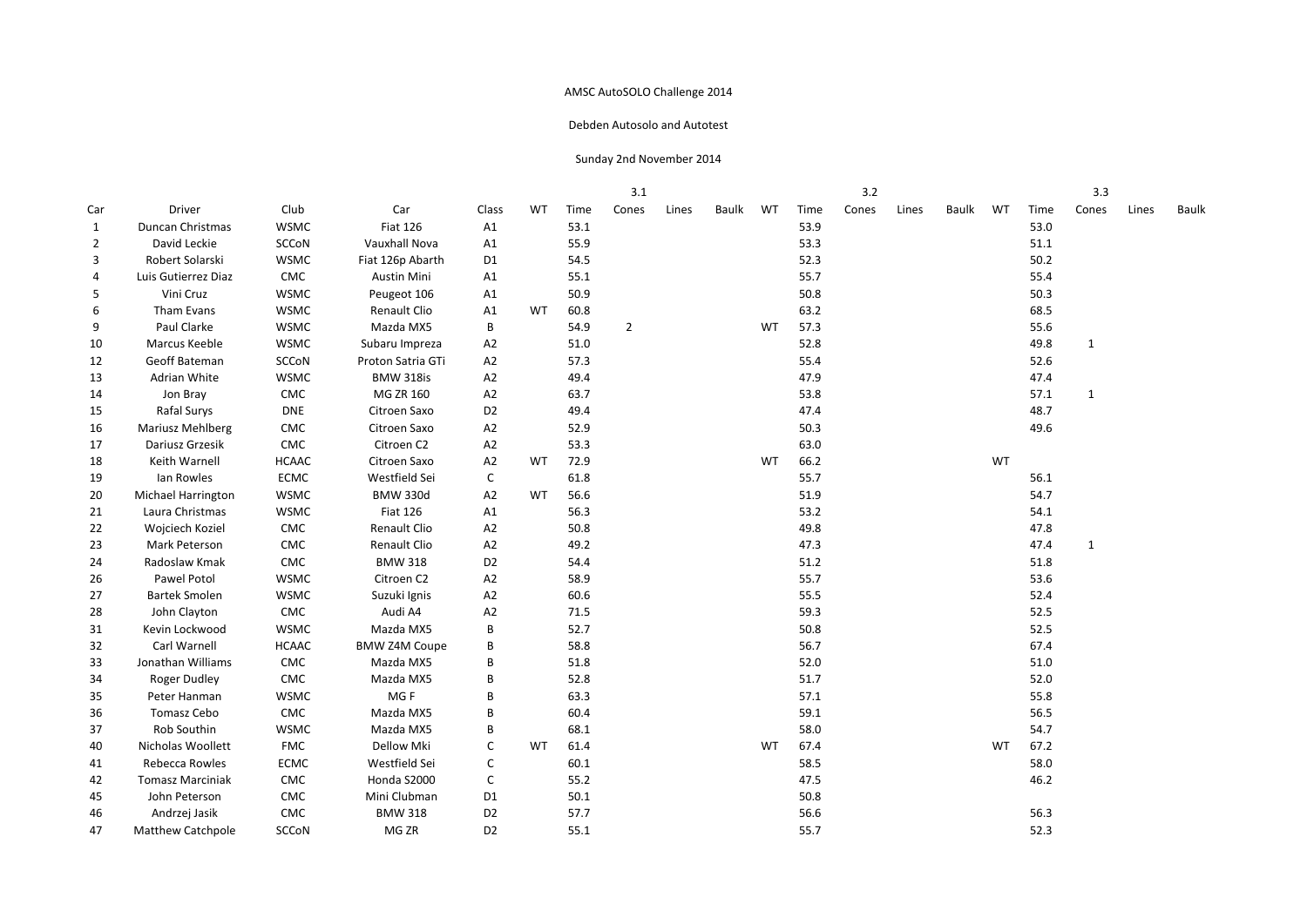#### Debden Autosolo and Autotest

|                |                           |              |                      |                |           |      | 3.1            |       |       |           |      | 3.2   |       |       |           |      | 3.3          |       |       |
|----------------|---------------------------|--------------|----------------------|----------------|-----------|------|----------------|-------|-------|-----------|------|-------|-------|-------|-----------|------|--------------|-------|-------|
| Car            | Driver                    | Club         | Car                  | Class          | <b>WT</b> | Time | Cones          | Lines | Baulk | WT        | Time | Cones | Lines | Baulk | WT        | Time | Cones        | Lines | Baulk |
| $\mathbf{1}$   | Duncan Christmas          | <b>WSMC</b>  | <b>Fiat 126</b>      | A1             |           | 53.1 |                |       |       |           | 53.9 |       |       |       |           | 53.0 |              |       |       |
| $\overline{2}$ | David Leckie              | SCCoN        | Vauxhall Nova        | A1             |           | 55.9 |                |       |       |           | 53.3 |       |       |       |           | 51.1 |              |       |       |
| 3              | Robert Solarski           | <b>WSMC</b>  | Fiat 126p Abarth     | D <sub>1</sub> |           | 54.5 |                |       |       |           | 52.3 |       |       |       |           | 50.2 |              |       |       |
| 4              | Luis Gutierrez Diaz       | CMC          | Austin Mini          | A1             |           | 55.1 |                |       |       |           | 55.7 |       |       |       |           | 55.4 |              |       |       |
| 5              | Vini Cruz                 | <b>WSMC</b>  | Peugeot 106          | A1             |           | 50.9 |                |       |       |           | 50.8 |       |       |       |           | 50.3 |              |       |       |
| 6              | Tham Evans                | <b>WSMC</b>  | Renault Clio         | A1             | WT        | 60.8 |                |       |       |           | 63.2 |       |       |       |           | 68.5 |              |       |       |
| 9              | Paul Clarke               | <b>WSMC</b>  | Mazda MX5            | B              |           | 54.9 | $\overline{2}$ |       |       | WT        | 57.3 |       |       |       |           | 55.6 |              |       |       |
| 10             | Marcus Keeble             | <b>WSMC</b>  | Subaru Impreza       | A <sub>2</sub> |           | 51.0 |                |       |       |           | 52.8 |       |       |       |           | 49.8 | $\mathbf 1$  |       |       |
| 12             | Geoff Bateman             | SCCoN        | Proton Satria GTi    | A <sub>2</sub> |           | 57.3 |                |       |       |           | 55.4 |       |       |       |           | 52.6 |              |       |       |
| 13             | Adrian White              | <b>WSMC</b>  | <b>BMW 318is</b>     | A2             |           | 49.4 |                |       |       |           | 47.9 |       |       |       |           | 47.4 |              |       |       |
| 14             | Jon Bray                  | CMC          | MG ZR 160            | A <sub>2</sub> |           | 63.7 |                |       |       |           | 53.8 |       |       |       |           | 57.1 | $\mathbf{1}$ |       |       |
| 15             | Rafal Surys               | <b>DNE</b>   | Citroen Saxo         | D <sub>2</sub> |           | 49.4 |                |       |       |           | 47.4 |       |       |       |           | 48.7 |              |       |       |
| 16             | <b>Mariusz Mehlberg</b>   | CMC          | Citroen Saxo         | A <sub>2</sub> |           | 52.9 |                |       |       |           | 50.3 |       |       |       |           | 49.6 |              |       |       |
| 17             | Dariusz Grzesik           | CMC          | Citroen C2           | A2             |           | 53.3 |                |       |       |           | 63.0 |       |       |       |           |      |              |       |       |
| 18             | Keith Warnell             | <b>HCAAC</b> | Citroen Saxo         | A <sub>2</sub> | WT        | 72.9 |                |       |       | <b>WT</b> | 66.2 |       |       |       | WT        |      |              |       |       |
| 19             | Ian Rowles                | <b>ECMC</b>  | Westfield Sei        | C              |           | 61.8 |                |       |       |           | 55.7 |       |       |       |           | 56.1 |              |       |       |
| 20             | <b>Michael Harrington</b> | <b>WSMC</b>  | <b>BMW 330d</b>      | A <sub>2</sub> | <b>WT</b> | 56.6 |                |       |       |           | 51.9 |       |       |       |           | 54.7 |              |       |       |
| 21             | Laura Christmas           | <b>WSMC</b>  | <b>Fiat 126</b>      | A1             |           | 56.3 |                |       |       |           | 53.2 |       |       |       |           | 54.1 |              |       |       |
| 22             | Wojciech Koziel           | ${\sf CMC}$  | Renault Clio         | A2             |           | 50.8 |                |       |       |           | 49.8 |       |       |       |           | 47.8 |              |       |       |
| 23             | Mark Peterson             | CMC          | Renault Clio         | A2             |           | 49.2 |                |       |       |           | 47.3 |       |       |       |           | 47.4 | $\mathbf{1}$ |       |       |
| 24             | Radoslaw Kmak             | CMC          | <b>BMW 318</b>       | D <sub>2</sub> |           | 54.4 |                |       |       |           | 51.2 |       |       |       |           | 51.8 |              |       |       |
| 26             | Pawel Potol               | <b>WSMC</b>  | Citroen C2           | A2             |           | 58.9 |                |       |       |           | 55.7 |       |       |       |           | 53.6 |              |       |       |
| 27             | <b>Bartek Smolen</b>      | <b>WSMC</b>  | Suzuki Ignis         | A <sub>2</sub> |           | 60.6 |                |       |       |           | 55.5 |       |       |       |           | 52.4 |              |       |       |
| 28             | John Clayton              | CMC          | Audi A4              | A <sub>2</sub> |           | 71.5 |                |       |       |           | 59.3 |       |       |       |           | 52.5 |              |       |       |
| 31             | Kevin Lockwood            | <b>WSMC</b>  | Mazda MX5            | B              |           | 52.7 |                |       |       |           | 50.8 |       |       |       |           | 52.5 |              |       |       |
| 32             | Carl Warnell              | <b>HCAAC</b> | <b>BMW Z4M Coupe</b> | В              |           | 58.8 |                |       |       |           | 56.7 |       |       |       |           | 67.4 |              |       |       |
| 33             | Jonathan Williams         | CMC          | Mazda MX5            | B              |           | 51.8 |                |       |       |           | 52.0 |       |       |       |           | 51.0 |              |       |       |
| 34             | Roger Dudley              | CMC          | Mazda MX5            | B              |           | 52.8 |                |       |       |           | 51.7 |       |       |       |           | 52.0 |              |       |       |
| 35             | Peter Hanman              | <b>WSMC</b>  | MG F                 | B              |           | 63.3 |                |       |       |           | 57.1 |       |       |       |           | 55.8 |              |       |       |
| 36             | Tomasz Cebo               | CMC          | Mazda MX5            | В              |           | 60.4 |                |       |       |           | 59.1 |       |       |       |           | 56.5 |              |       |       |
| 37             | Rob Southin               | <b>WSMC</b>  | Mazda MX5            | B              |           | 68.1 |                |       |       |           | 58.0 |       |       |       |           | 54.7 |              |       |       |
| 40             | Nicholas Woollett         | <b>FMC</b>   | Dellow Mki           | C              | <b>WT</b> | 61.4 |                |       |       | <b>WT</b> | 67.4 |       |       |       | <b>WT</b> | 67.2 |              |       |       |
| 41             | Rebecca Rowles            | <b>ECMC</b>  | Westfield Sei        | C              |           | 60.1 |                |       |       |           | 58.5 |       |       |       |           | 58.0 |              |       |       |
| 42             | <b>Tomasz Marciniak</b>   | CMC          | Honda S2000          | C              |           | 55.2 |                |       |       |           | 47.5 |       |       |       |           | 46.2 |              |       |       |
| 45             | John Peterson             | CMC          | Mini Clubman         | D <sub>1</sub> |           | 50.1 |                |       |       |           | 50.8 |       |       |       |           |      |              |       |       |
| 46             | Andrzej Jasik             | CMC          | <b>BMW 318</b>       | D <sub>2</sub> |           | 57.7 |                |       |       |           | 56.6 |       |       |       |           | 56.3 |              |       |       |
| 47             | <b>Matthew Catchpole</b>  | SCCoN        | MG ZR                | D <sub>2</sub> |           | 55.1 |                |       |       |           | 55.7 |       |       |       |           | 52.3 |              |       |       |
|                |                           |              |                      |                |           |      |                |       |       |           |      |       |       |       |           |      |              |       |       |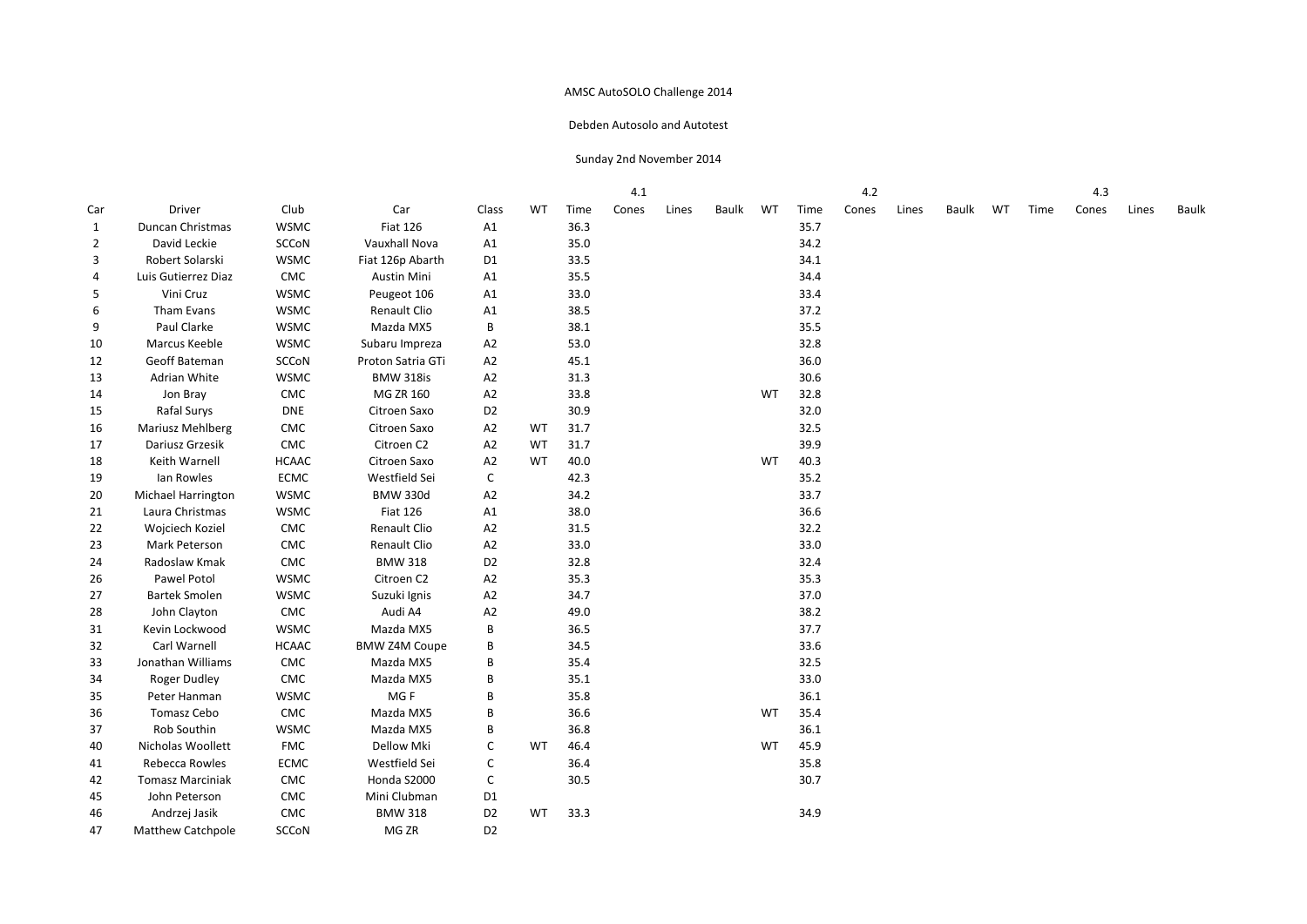#### Debden Autosolo and Autotest

|              |                           |              |                      |                |    |      | 4.1   |       |       |    |      | 4.2   |       |       |    |      | 4.3   |       |       |
|--------------|---------------------------|--------------|----------------------|----------------|----|------|-------|-------|-------|----|------|-------|-------|-------|----|------|-------|-------|-------|
| Car          | Driver                    | Club         | Car                  | Class          | WT | Time | Cones | Lines | Baulk | WT | Time | Cones | Lines | Baulk | WT | Time | Cones | Lines | Baulk |
| $\mathbf{1}$ | Duncan Christmas          | <b>WSMC</b>  | <b>Fiat 126</b>      | A1             |    | 36.3 |       |       |       |    | 35.7 |       |       |       |    |      |       |       |       |
| 2            | David Leckie              | SCCoN        | Vauxhall Nova        | A1             |    | 35.0 |       |       |       |    | 34.2 |       |       |       |    |      |       |       |       |
| 3            | Robert Solarski           | <b>WSMC</b>  | Fiat 126p Abarth     | D <sub>1</sub> |    | 33.5 |       |       |       |    | 34.1 |       |       |       |    |      |       |       |       |
| 4            | Luis Gutierrez Diaz       | CMC          | <b>Austin Mini</b>   | A1             |    | 35.5 |       |       |       |    | 34.4 |       |       |       |    |      |       |       |       |
| 5            | Vini Cruz                 | <b>WSMC</b>  | Peugeot 106          | A1             |    | 33.0 |       |       |       |    | 33.4 |       |       |       |    |      |       |       |       |
| 6            | Tham Evans                | <b>WSMC</b>  | Renault Clio         | A1             |    | 38.5 |       |       |       |    | 37.2 |       |       |       |    |      |       |       |       |
| 9            | Paul Clarke               | <b>WSMC</b>  | Mazda MX5            | B              |    | 38.1 |       |       |       |    | 35.5 |       |       |       |    |      |       |       |       |
| 10           | Marcus Keeble             | <b>WSMC</b>  | Subaru Impreza       | A2             |    | 53.0 |       |       |       |    | 32.8 |       |       |       |    |      |       |       |       |
| 12           | Geoff Bateman             | SCCoN        | Proton Satria GTi    | A <sub>2</sub> |    | 45.1 |       |       |       |    | 36.0 |       |       |       |    |      |       |       |       |
| 13           | Adrian White              | <b>WSMC</b>  | <b>BMW 318is</b>     | A <sub>2</sub> |    | 31.3 |       |       |       |    | 30.6 |       |       |       |    |      |       |       |       |
| 14           | Jon Bray                  | CMC          | MG ZR 160            | A <sub>2</sub> |    | 33.8 |       |       |       | WT | 32.8 |       |       |       |    |      |       |       |       |
| 15           | Rafal Surys               | <b>DNE</b>   | Citroen Saxo         | D <sub>2</sub> |    | 30.9 |       |       |       |    | 32.0 |       |       |       |    |      |       |       |       |
| 16           | Mariusz Mehlberg          | CMC          | Citroen Saxo         | A <sub>2</sub> | WT | 31.7 |       |       |       |    | 32.5 |       |       |       |    |      |       |       |       |
| 17           | Dariusz Grzesik           | CMC          | Citroen C2           | A <sub>2</sub> | WT | 31.7 |       |       |       |    | 39.9 |       |       |       |    |      |       |       |       |
| 18           | Keith Warnell             | <b>HCAAC</b> | Citroen Saxo         | A2             | WT | 40.0 |       |       |       | WT | 40.3 |       |       |       |    |      |       |       |       |
| 19           | Ian Rowles                | <b>ECMC</b>  | Westfield Sei        | C              |    | 42.3 |       |       |       |    | 35.2 |       |       |       |    |      |       |       |       |
| 20           | <b>Michael Harrington</b> | <b>WSMC</b>  | <b>BMW 330d</b>      | A <sub>2</sub> |    | 34.2 |       |       |       |    | 33.7 |       |       |       |    |      |       |       |       |
| 21           | Laura Christmas           | <b>WSMC</b>  | <b>Fiat 126</b>      | A1             |    | 38.0 |       |       |       |    | 36.6 |       |       |       |    |      |       |       |       |
| 22           | Wojciech Koziel           | ${\sf CMC}$  | Renault Clio         | A2             |    | 31.5 |       |       |       |    | 32.2 |       |       |       |    |      |       |       |       |
| 23           | Mark Peterson             | CMC          | Renault Clio         | A2             |    | 33.0 |       |       |       |    | 33.0 |       |       |       |    |      |       |       |       |
| 24           | Radoslaw Kmak             | CMC          | <b>BMW 318</b>       | D <sub>2</sub> |    | 32.8 |       |       |       |    | 32.4 |       |       |       |    |      |       |       |       |
| 26           | Pawel Potol               | <b>WSMC</b>  | Citroen C2           | A <sub>2</sub> |    | 35.3 |       |       |       |    | 35.3 |       |       |       |    |      |       |       |       |
| 27           | <b>Bartek Smolen</b>      | <b>WSMC</b>  | Suzuki Ignis         | A2             |    | 34.7 |       |       |       |    | 37.0 |       |       |       |    |      |       |       |       |
| 28           | John Clayton              | ${\sf CMC}$  | Audi A4              | A2             |    | 49.0 |       |       |       |    | 38.2 |       |       |       |    |      |       |       |       |
| 31           | Kevin Lockwood            | <b>WSMC</b>  | Mazda MX5            | B              |    | 36.5 |       |       |       |    | 37.7 |       |       |       |    |      |       |       |       |
| 32           | Carl Warnell              | <b>HCAAC</b> | <b>BMW Z4M Coupe</b> | В              |    | 34.5 |       |       |       |    | 33.6 |       |       |       |    |      |       |       |       |
| 33           | Jonathan Williams         | CMC          | Mazda MX5            | В              |    | 35.4 |       |       |       |    | 32.5 |       |       |       |    |      |       |       |       |
| 34           | Roger Dudley              | CMC          | Mazda MX5            | В              |    | 35.1 |       |       |       |    | 33.0 |       |       |       |    |      |       |       |       |
| 35           | Peter Hanman              | <b>WSMC</b>  | MG F                 | B              |    | 35.8 |       |       |       |    | 36.1 |       |       |       |    |      |       |       |       |
| 36           | Tomasz Cebo               | CMC          | Mazda MX5            | В              |    | 36.6 |       |       |       | WT | 35.4 |       |       |       |    |      |       |       |       |
| 37           | Rob Southin               | <b>WSMC</b>  | Mazda MX5            | В              |    | 36.8 |       |       |       |    | 36.1 |       |       |       |    |      |       |       |       |
| 40           | Nicholas Woollett         | <b>FMC</b>   | Dellow Mki           | C              | WT | 46.4 |       |       |       | WT | 45.9 |       |       |       |    |      |       |       |       |
| 41           | Rebecca Rowles            | <b>ECMC</b>  | Westfield Sei        | C              |    | 36.4 |       |       |       |    | 35.8 |       |       |       |    |      |       |       |       |
| 42           | <b>Tomasz Marciniak</b>   | CMC          | Honda S2000          | C              |    | 30.5 |       |       |       |    | 30.7 |       |       |       |    |      |       |       |       |
| 45           | John Peterson             | CMC          | Mini Clubman         | D1             |    |      |       |       |       |    |      |       |       |       |    |      |       |       |       |
| 46           | Andrzej Jasik             | ${\sf CMC}$  | <b>BMW 318</b>       | D <sub>2</sub> | WT | 33.3 |       |       |       |    | 34.9 |       |       |       |    |      |       |       |       |
| 47           | <b>Matthew Catchpole</b>  | SCCoN        | MG ZR                | D <sub>2</sub> |    |      |       |       |       |    |      |       |       |       |    |      |       |       |       |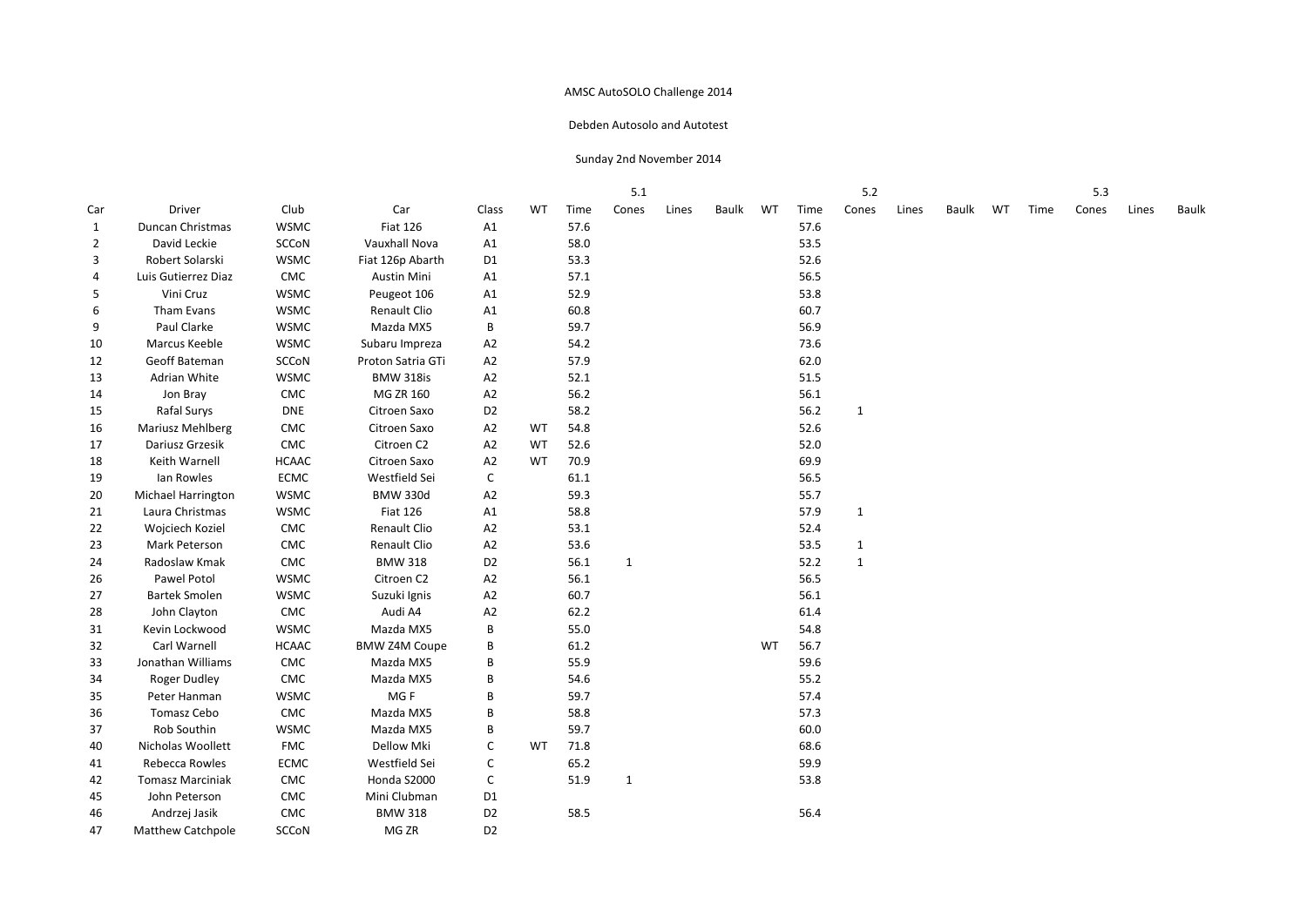#### Debden Autosolo and Autotest

|              |                           |              |                      |                |    |      | 5.1          |       |       |           |      | 5.2          |       |       |    |      | 5.3   |       |       |
|--------------|---------------------------|--------------|----------------------|----------------|----|------|--------------|-------|-------|-----------|------|--------------|-------|-------|----|------|-------|-------|-------|
| Car          | Driver                    | Club         | Car                  | Class          | WT | Time | Cones        | Lines | Baulk | WT        | Time | Cones        | Lines | Baulk | WT | Time | Cones | Lines | Baulk |
| $\mathbf{1}$ | Duncan Christmas          | <b>WSMC</b>  | <b>Fiat 126</b>      | A1             |    | 57.6 |              |       |       |           | 57.6 |              |       |       |    |      |       |       |       |
| 2            | David Leckie              | SCCoN        | Vauxhall Nova        | A1             |    | 58.0 |              |       |       |           | 53.5 |              |       |       |    |      |       |       |       |
| 3            | Robert Solarski           | <b>WSMC</b>  | Fiat 126p Abarth     | D <sub>1</sub> |    | 53.3 |              |       |       |           | 52.6 |              |       |       |    |      |       |       |       |
| 4            | Luis Gutierrez Diaz       | CMC          | Austin Mini          | A1             |    | 57.1 |              |       |       |           | 56.5 |              |       |       |    |      |       |       |       |
| 5            | Vini Cruz                 | <b>WSMC</b>  | Peugeot 106          | A1             |    | 52.9 |              |       |       |           | 53.8 |              |       |       |    |      |       |       |       |
| 6            | Tham Evans                | <b>WSMC</b>  | Renault Clio         | A1             |    | 60.8 |              |       |       |           | 60.7 |              |       |       |    |      |       |       |       |
| 9            | Paul Clarke               | <b>WSMC</b>  | Mazda MX5            | B              |    | 59.7 |              |       |       |           | 56.9 |              |       |       |    |      |       |       |       |
| 10           | Marcus Keeble             | <b>WSMC</b>  | Subaru Impreza       | A2             |    | 54.2 |              |       |       |           | 73.6 |              |       |       |    |      |       |       |       |
| 12           | Geoff Bateman             | SCCoN        | Proton Satria GTi    | A <sub>2</sub> |    | 57.9 |              |       |       |           | 62.0 |              |       |       |    |      |       |       |       |
| 13           | Adrian White              | <b>WSMC</b>  | <b>BMW 318is</b>     | A <sub>2</sub> |    | 52.1 |              |       |       |           | 51.5 |              |       |       |    |      |       |       |       |
| 14           | Jon Bray                  | CMC          | MG ZR 160            | A <sub>2</sub> |    | 56.2 |              |       |       |           | 56.1 |              |       |       |    |      |       |       |       |
| 15           | Rafal Surys               | <b>DNE</b>   | Citroen Saxo         | D <sub>2</sub> |    | 58.2 |              |       |       |           | 56.2 | $\mathbf{1}$ |       |       |    |      |       |       |       |
| 16           | Mariusz Mehlberg          | CMC          | Citroen Saxo         | A <sub>2</sub> | WT | 54.8 |              |       |       |           | 52.6 |              |       |       |    |      |       |       |       |
| 17           | Dariusz Grzesik           | CMC          | Citroen C2           | A <sub>2</sub> | WT | 52.6 |              |       |       |           | 52.0 |              |       |       |    |      |       |       |       |
| 18           | Keith Warnell             | <b>HCAAC</b> | Citroen Saxo         | A2             | WT | 70.9 |              |       |       |           | 69.9 |              |       |       |    |      |       |       |       |
| 19           | Ian Rowles                | <b>ECMC</b>  | Westfield Sei        | C              |    | 61.1 |              |       |       |           | 56.5 |              |       |       |    |      |       |       |       |
| 20           | <b>Michael Harrington</b> | <b>WSMC</b>  | <b>BMW 330d</b>      | A <sub>2</sub> |    | 59.3 |              |       |       |           | 55.7 |              |       |       |    |      |       |       |       |
| 21           | Laura Christmas           | <b>WSMC</b>  | <b>Fiat 126</b>      | A1             |    | 58.8 |              |       |       |           | 57.9 | $\mathbf{1}$ |       |       |    |      |       |       |       |
| 22           | Wojciech Koziel           | ${\sf CMC}$  | Renault Clio         | A2             |    | 53.1 |              |       |       |           | 52.4 |              |       |       |    |      |       |       |       |
| 23           | Mark Peterson             | CMC          | Renault Clio         | A2             |    | 53.6 |              |       |       |           | 53.5 | $\mathbf{1}$ |       |       |    |      |       |       |       |
| 24           | Radoslaw Kmak             | CMC          | <b>BMW 318</b>       | D <sub>2</sub> |    | 56.1 | $\mathbf{1}$ |       |       |           | 52.2 | $\mathbf{1}$ |       |       |    |      |       |       |       |
| 26           | Pawel Potol               | <b>WSMC</b>  | Citroen C2           | A <sub>2</sub> |    | 56.1 |              |       |       |           | 56.5 |              |       |       |    |      |       |       |       |
| 27           | <b>Bartek Smolen</b>      | <b>WSMC</b>  | Suzuki Ignis         | A2             |    | 60.7 |              |       |       |           | 56.1 |              |       |       |    |      |       |       |       |
| 28           | John Clayton              | ${\sf CMC}$  | Audi A4              | A2             |    | 62.2 |              |       |       |           | 61.4 |              |       |       |    |      |       |       |       |
| 31           | Kevin Lockwood            | <b>WSMC</b>  | Mazda MX5            | B              |    | 55.0 |              |       |       |           | 54.8 |              |       |       |    |      |       |       |       |
| 32           | Carl Warnell              | <b>HCAAC</b> | <b>BMW Z4M Coupe</b> | В              |    | 61.2 |              |       |       | <b>WT</b> | 56.7 |              |       |       |    |      |       |       |       |
| 33           | Jonathan Williams         | CMC          | Mazda MX5            | В              |    | 55.9 |              |       |       |           | 59.6 |              |       |       |    |      |       |       |       |
| 34           | Roger Dudley              | CMC          | Mazda MX5            | В              |    | 54.6 |              |       |       |           | 55.2 |              |       |       |    |      |       |       |       |
| 35           | Peter Hanman              | <b>WSMC</b>  | MG F                 | B              |    | 59.7 |              |       |       |           | 57.4 |              |       |       |    |      |       |       |       |
| 36           | Tomasz Cebo               | ${\sf CMC}$  | Mazda MX5            | B              |    | 58.8 |              |       |       |           | 57.3 |              |       |       |    |      |       |       |       |
| 37           | Rob Southin               | <b>WSMC</b>  | Mazda MX5            | В              |    | 59.7 |              |       |       |           | 60.0 |              |       |       |    |      |       |       |       |
| 40           | Nicholas Woollett         | <b>FMC</b>   | Dellow Mki           | С              | WT | 71.8 |              |       |       |           | 68.6 |              |       |       |    |      |       |       |       |
| 41           | Rebecca Rowles            | <b>ECMC</b>  | Westfield Sei        | C              |    | 65.2 |              |       |       |           | 59.9 |              |       |       |    |      |       |       |       |
| 42           | <b>Tomasz Marciniak</b>   | CMC          | Honda S2000          | C              |    | 51.9 | 1            |       |       |           | 53.8 |              |       |       |    |      |       |       |       |
| 45           | John Peterson             | CMC          | Mini Clubman         | D <sub>1</sub> |    |      |              |       |       |           |      |              |       |       |    |      |       |       |       |
| 46           | Andrzej Jasik             | ${\sf CMC}$  | <b>BMW 318</b>       | D <sub>2</sub> |    | 58.5 |              |       |       |           | 56.4 |              |       |       |    |      |       |       |       |
| 47           | <b>Matthew Catchpole</b>  | SCCoN        | MG ZR                | D <sub>2</sub> |    |      |              |       |       |           |      |              |       |       |    |      |       |       |       |